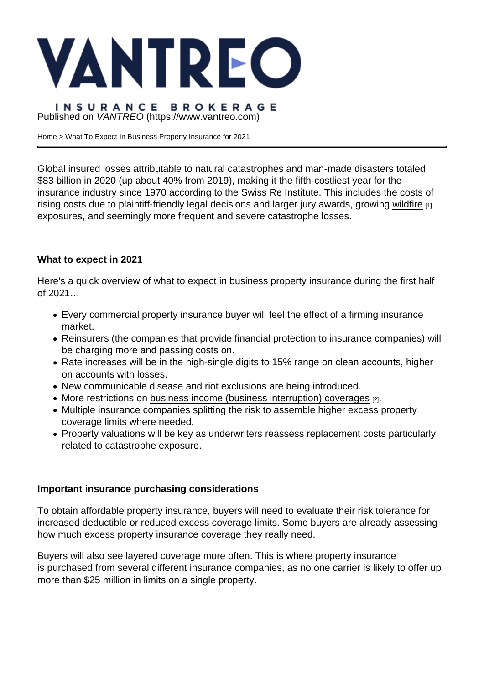## Published on VANTREO [\(https://www.vantreo.com](https://www.vantreo.com))

[Home](https://www.vantreo.com/) > What To Expect In Business Property Insurance for 2021

Global insured losses attributable to natural catastrophes and man-made disasters totaled \$83 billion in 2020 (up about 40% from 2019), making it the fifth-costliest year for the insurance industry since 1970 according to the Swiss Re Institute. This includes the costs of rising costs due to plaintiff-friendly legal decisions and larger jury awards, growing [wildfire](https://www.vantreo.com/california-wildfire-insurance) [1] exposures, and seemingly more frequent and severe catastrophe losses.

## What to expect in 2021

Here's a quick overview of what to expect in business property insurance during the first half of 2021…

- Every commercial property insurance buyer will feel the effect of a firming insurance market.
- Reinsurers (the companies that provide financial protection to insurance companies) will be charging more and passing costs on.
- Rate increases will be in the high-single digits to 15% range on clean accounts, higher on accounts with losses.
- New communicable disease and riot exclusions are being introduced.
- More restrictions on [business income \(business interruption\) coverages](https://www.vantreo.com/coverage/business-income-insurance) [2].
- Multiple insurance companies splitting the risk to assemble higher excess property coverage limits where needed.
- Property valuations will be key as underwriters reassess replacement costs particularly related to catastrophe exposure.

## Important insurance purchasing considerations

To obtain affordable property insurance, buyers will need to evaluate their risk tolerance for increased deductible or reduced excess coverage limits. Some buyers are already assessing how much excess property insurance coverage they really need.

Buyers will also see layered coverage more often. This is where property insurance is purchased from several different insurance companies, as no one carrier is likely to offer up more than \$25 million in limits on a single property.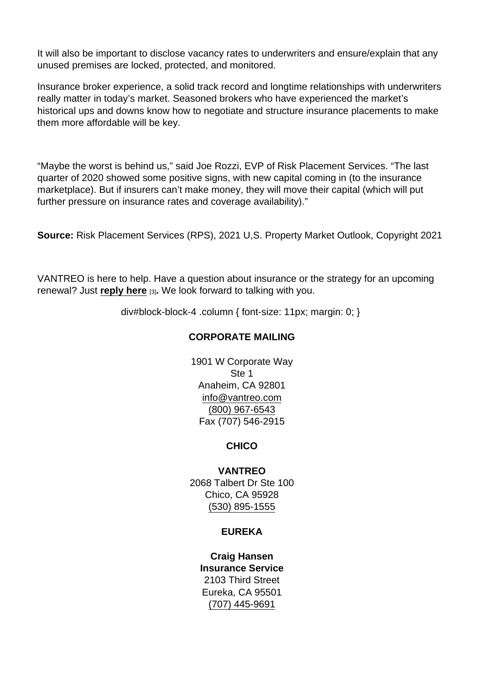It will also be important to disclose vacancy rates to underwriters and ensure/explain that any unused premises are locked, protected, and monitored.

Insurance broker experience, a solid track record and longtime relationships with underwriters really matter in today's market. Seasoned brokers who have experienced the market's historical ups and downs know how to negotiate and structure insurance placements to make them more affordable will be key.

"Maybe the worst is behind us," said Joe Rozzi, EVP of Risk Placement Services. "The last quarter of 2020 showed some positive signs, with new capital coming in (to the insurance marketplace). But if insurers can't make money, they will move their capital (which will put further pressure on insurance rates and coverage availability)."

Source: Risk Placement Services (RPS), 2021 U,S. Property Market Outlook, Copyright 2021

VANTREO is here to help. Have a question about insurance or the strategy for an upcoming renewal? Just [reply here](mailto:executiveservices@vantreo.com) [3]. We look forward to talking with you.

div#block-block-4 .column { font-size: 11px; margin: 0; }

# CORPORATE MAILING

1901 W Corporate Way Ste 1 Anaheim, CA 92801 [info@vantreo.com](mailto:info@vantreo.com) [\(800\) 967-6543](tel:1-800-967-6543) Fax (707) 546-2915

**CHICO** 

VANTREO 2068 Talbert Dr Ste 100 Chico, CA 95928 [\(530\) 895-1555](tel:530-895-1555)

# EUREKA

Craig Hansen Insurance Service 2103 Third Street Eureka, CA 95501 [\(707\) 445-9691](tel:707-445-9691)